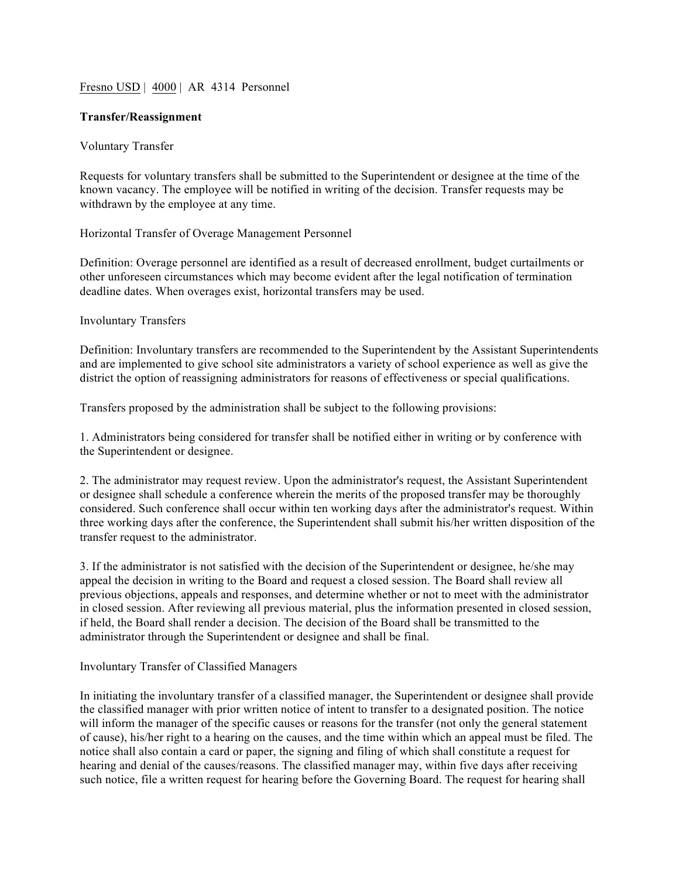# Fresno USD | 4000 | AR 4314 Personnel

# **Transfer/Reassignment**

# Voluntary Transfer

Requests for voluntary transfers shall be submitted to the Superintendent or designee at the time of the known vacancy. The employee will be notified in writing of the decision. Transfer requests may be withdrawn by the employee at any time.

Horizontal Transfer of Overage Management Personnel

Definition: Overage personnel are identified as a result of decreased enrollment, budget curtailments or other unforeseen circumstances which may become evident after the legal notification of termination deadline dates. When overages exist, horizontal transfers may be used.

# Involuntary Transfers

Definition: Involuntary transfers are recommended to the Superintendent by the Assistant Superintendents and are implemented to give school site administrators a variety of school experience as well as give the district the option of reassigning administrators for reasons of effectiveness or special qualifications.

Transfers proposed by the administration shall be subject to the following provisions:

1. Administrators being considered for transfer shall be notified either in writing or by conference with the Superintendent or designee.

2. The administrator may request review. Upon the administrator's request, the Assistant Superintendent or designee shall schedule a conference wherein the merits of the proposed transfer may be thoroughly considered. Such conference shall occur within ten working days after the administrator's request. Within three working days after the conference, the Superintendent shall submit his/her written disposition of the transfer request to the administrator.

3. If the administrator is not satisfied with the decision of the Superintendent or designee, he/she may appeal the decision in writing to the Board and request a closed session. The Board shall review all previous objections, appeals and responses, and determine whether or not to meet with the administrator in closed session. After reviewing all previous material, plus the information presented in closed session, if held, the Board shall render a decision. The decision of the Board shall be transmitted to the administrator through the Superintendent or designee and shall be final.

#### Involuntary Transfer of Classified Managers

In initiating the involuntary transfer of a classified manager, the Superintendent or designee shall provide the classified manager with prior written notice of intent to transfer to a designated position. The notice will inform the manager of the specific causes or reasons for the transfer (not only the general statement of cause), his/her right to a hearing on the causes, and the time within which an appeal must be filed. The notice shall also contain a card or paper, the signing and filing of which shall constitute a request for hearing and denial of the causes/reasons. The classified manager may, within five days after receiving such notice, file a written request for hearing before the Governing Board. The request for hearing shall